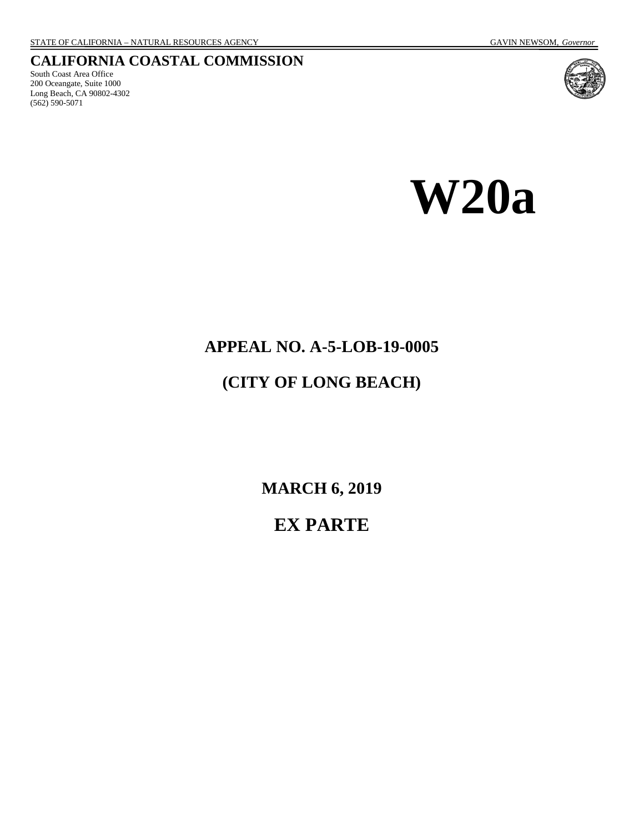#### **CALIFORNIA COASTAL COMMISSION**

South Coast Area Office 200 Oceangate, Suite 1000 Long Beach, CA 90802-4302 (562) 590-5071



**W20a** 

# **APPEAL NO. A-5-LOB-19-0005**

# **(CITY OF LONG BEACH)**

**MARCH 6, 2019** 

# **EX PARTE**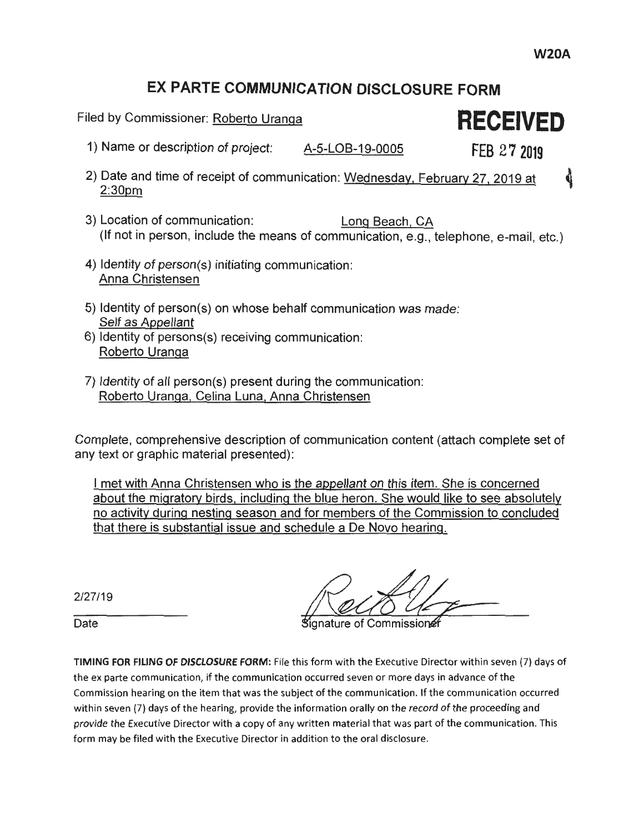#### **EX PARTE COMMUNICATION DISCLOSURE FORM**

Filed by Commissioner: Roberto Uranga **RECEIVED** 

- 1) Name or description of project: A-5-LOB-19-0005 **FEB 27 2019**
- 2) Date and time of receipt of communication: Wednesday, February 27, 2019 at  $\ddot{\textbf{q}}$ 2:30pm
- 3) Location of communication: Long Beach. CA (If not in person, include the means of communication, e.g., telephone, e-mail, etc.)
- 4) Identity of person(s) initiating communication: Anna Christensen
- 5) Identity of person(s) on whose behalf communication was made: Self as Appellant
- 6) Identity of persons(s) receiving communication: Roberto Uranga
- 7) Identity of all person(s) present during the communication: Roberto Uranga. Celina Luna. Anna Christensen

Complete, comprehensive description of communication content (attach complete set of any text or graphic material presented):

I met with Anna Christensen who is the appellant on this item. She is concerned about the migratory birds. including the blue heron. She would like to see absolutely no activity during nesting season and for members of the Commission to concluded that there is substantial issue and schedule a De Novo hearing.

2/27/19

ignature of Commissio

TIMING FOR FILING OF DISCLOSURE FORM: File this form with the Executive Director within seven (7) days of the ex parte communication, if the communication occurred seven or more days in advance of the Commission hearing on the item that was the subject of the communication. If the communication occurred within seven (7) days of the hearing, provide the information orally on the record of the proceeding and provide the Executive Director with a copy of any written material that was part of the communication. This form may be filed with the Executive Director in addition to the oral disclosure.

Date